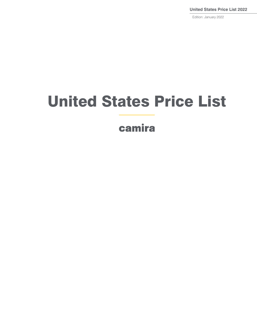**United States Price List 2022**

Edition: January 2022

# United States Price List

camira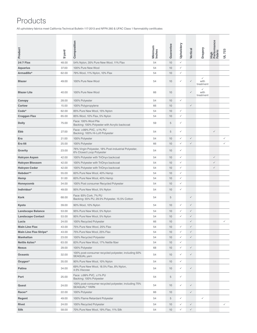## Products

All upholstery fabrics meet California Technical Bulletin 117-2013 and NFPA 260 & UFAC Class 1 flammability certificates

| Product                       | $$/y$ ard | Composition                                                                       | Minimum<br>Inches | Guarantee | Upholstery   | Vertical     | Drapery                           | High<br>Performance<br>Fabric | UL 723       |
|-------------------------------|-----------|-----------------------------------------------------------------------------------|-------------------|-----------|--------------|--------------|-----------------------------------|-------------------------------|--------------|
| <b>24/7 Flax</b>              | 48.00     | 54% Nylon, 35% Pure New Wool, 11% Flax                                            | 54                | 10        | $\checkmark$ |              |                                   |                               |              |
| <b>Aquarius</b>               | 37.00     | 100% Pure New Wool                                                                | 54                | 10        | $\checkmark$ |              |                                   |                               |              |
| Armadillo*                    | 62.00     | 79% Wool, 11% Nylon, 10% Flax                                                     | 54                | 10        | $\checkmark$ |              |                                   |                               |              |
| <b>Blazer</b>                 | 49.00     | 100% Pure New Wool                                                                | 54                | 10        | $\checkmark$ | $\checkmark$ | $\checkmark$<br>with<br>treatment |                               |              |
| <b>Blazer Lite</b>            | 40.00     | 100% Pure New Wool                                                                | 66                | 10        |              | $\checkmark$ | ✓<br>with<br>treatment            |                               |              |
| Canopy                        | 28.00     | 100% Polyester                                                                    | 54                | 10        | $\checkmark$ |              |                                   |                               |              |
| <b>Carlow</b>                 | 15.00     | 100% Polypropylene                                                                | 66                | 10        |              | $\checkmark$ |                                   |                               |              |
| Code*                         | 62.00     | 85% Pure New Wool, 15% Nylon                                                      | 54                | 10        | $\checkmark$ |              |                                   |                               |              |
| <b>Craggan Flax</b>           | 65.00     | 85% Wool, 10% Flax, 5% Nylon                                                      | 54                | 10        | $\checkmark$ |              |                                   |                               |              |
| <b>Dolly</b>                  | 75.00     | Face: 100% Wool Pile<br>Backing: 100% Polyester with Acrylic backcoat             | 59                | 5         | $\checkmark$ |              |                                   |                               |              |
| Ebb                           | 27.00     | Face: ≥99% PVC, ≤1% PU<br>Backing: 100% Hi-Loft Polyester                         | 54                | 5         | $\checkmark$ |              |                                   | $\checkmark$                  |              |
| Era                           | 21.00     | 100% Polyester                                                                    | 54                | 10        | $\checkmark$ | $\checkmark$ |                                   |                               | ✓            |
| <b>Era 66</b>                 | 25.00     | 100% Polyester                                                                    | 66                | 10        | $\checkmark$ | $\checkmark$ |                                   |                               | ✓            |
| Gravity                       | 23.00     | 76% Virgin Polyester, 18% Post-industrial Polyester,<br>6% Closed Loop Polyester  | 54                | 10        | $\checkmark$ |              |                                   |                               |              |
| <b>Halcyon Aspen</b>          | 42.00     | 100% Polyester with TriOnyx backcoat                                              | 54                | 10        | $\checkmark$ |              |                                   | $\checkmark$                  |              |
| <b>Halcyon Blossom</b>        | 42.00     | 100% Polyester with TriOnyx backcoat                                              | 54                | 10        | $\checkmark$ |              |                                   | $\checkmark$                  |              |
| <b>Halcyon Cedar</b>          | 42.00     | 100% Polyester with TriOnyx backcoat                                              | 54                | 10        | $\checkmark$ |              |                                   | $\checkmark$                  |              |
| Hebden**                      | 55.00     | 60% Pure New Wool, 40% Hemp                                                       | 54                | 10        | $\checkmark$ |              |                                   |                               |              |
| Hemp                          | 51.00     | 60% Pure New Wool, 40% Hemp                                                       | 54                | 10        | $\checkmark$ |              |                                   |                               |              |
| <b>Honeycomb</b>              | 34.00     | 100% Post consumer Recycled Polyester                                             | 54                | 10        | $\checkmark$ |              |                                   |                               |              |
| Individuo*                    | 49.00     | 95% Pure New Wool, 5% Nylon                                                       | 54                | 10        | $\checkmark$ |              |                                   |                               |              |
| <b>Kork</b>                   | 68.00     | Face: 93% Cork, 7% PU<br>Backing: 55% PU, 29.5% Polyester, 15.5% Cotton           | 54                | 5         |              | $\checkmark$ |                                   |                               |              |
| Kyoto                         | 39.00     | 90% Wool, 10% Nylon                                                               | 54                | 10        | $\checkmark$ | $\checkmark$ |                                   |                               |              |
| <b>Landscape Balance</b>      | 53.00     | 95% Pure New Wool, 5% Nylon                                                       | 54                | 10        | ✓            | $\checkmark$ |                                   |                               |              |
| <b>Landscape Contact</b>      | 53.00     | 95% Pure New Wool, 5% Nylon                                                       | 54                | 10        | $\checkmark$ | $\checkmark$ |                                   |                               |              |
| Lucia                         | 24.00     | 100% Recycled Polyester                                                           | 66                | 10        |              | $\checkmark$ |                                   |                               | ✓            |
| <b>Main Line Flax</b>         | 43.00     | 75% Pure New Wool, 25% Flax                                                       | 54                | 10        | $\checkmark$ | $\checkmark$ |                                   |                               |              |
| <b>Main Line Flax Stripe*</b> | 43.00     | 75% Pure New Wool, 25% Flax                                                       | 54                | 10        | $\checkmark$ | $\checkmark$ |                                   |                               |              |
| <b>Manhattan</b>              | 23.00     | 100% Recycled Polyester                                                           | 54                | 10        | $\checkmark$ | $\checkmark$ |                                   |                               |              |
| Nettle Aztec*                 | 63.00     | 83% Pure New Wool, 17% Nettle fiber                                               | 54                | 10        | $\checkmark$ |              |                                   |                               |              |
| <b>Nexus</b>                  | 29.00     | 100% Polyester                                                                    | 68                | 10        | $\checkmark$ | $\checkmark$ |                                   |                               |              |
| <b>Oceanic</b>                | 32.00     | 100% post-consumer recycled polyester, including 50%<br>SEAQUAL yarn              | 54                | 10        | $\checkmark$ | $\checkmark$ |                                   |                               |              |
| Oxygen*                       | 35.00     | 90% Pure New Wool, 10% Nylon                                                      | 54                | 10        | $\checkmark$ |              |                                   |                               |              |
| Patina                        | 34.00     | 69% Pure New Wool, 18.5% Flax, 8% Nylon,<br>4.5% Viscose                          | 54                | 10        | $\checkmark$ | $\checkmark$ |                                   |                               |              |
| Port                          | 25.00     | Face: ≥99% PVC, ≤1% PU<br>Backing: 100% Polyester                                 | 54                | 5         | $\checkmark$ |              |                                   |                               |              |
| Quest                         | 24.00     | 100% post-consumer recycled polyester, including 75%<br>SEAQUAL <sup>®</sup> YARN | 54                | 10        | $\checkmark$ | $\checkmark$ |                                   |                               |              |
| Racer*                        | 22.00     | 100% Polyester                                                                    | 66                | 10        |              | $\checkmark$ |                                   |                               |              |
| Regent                        | 49.00     | 100% Flame Retardant Polyester                                                    | 54                | 5         | $\checkmark$ |              | $\checkmark$                      |                               |              |
| Rivet                         | 24.00     | 100% Recycled Polyester                                                           | 54                | 10        | $\checkmark$ | $\checkmark$ |                                   |                               | $\checkmark$ |
| <b>Silk</b>                   | 58.00     | 70% Pure New Wool, 19% Flax, 11% Silk                                             | 54                | 10        | $\checkmark$ | $\checkmark$ |                                   |                               |              |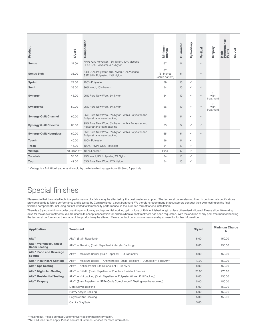| \$/yard       | Composition                                                                    | Minimum<br>Inches                   | Guarantee | Upholstery   | Vertical     | Drapery                           | High<br>Performance<br>Fabric | 723<br>$\overline{a}$ |
|---------------|--------------------------------------------------------------------------------|-------------------------------------|-----------|--------------|--------------|-----------------------------------|-------------------------------|-----------------------|
| 27.00         | FHR: 72% Polyester, 18% Nylon, 10% Viscose<br>FHU: 57% Polyester, 43% Nylon    | 67                                  | 5         |              | $\checkmark$ |                                   |                               |                       |
| 33.00         | SJR: 72% Polyester, 18% Nylon, 10% Viscose<br>SJE: 57% Polyester, 43% Nylon    | 67<br>(61 inches<br>usable pattern) | 5         |              | $\checkmark$ |                                   |                               |                       |
| 24.00         | 100% Polyester                                                                 | 59                                  | 10        | $\checkmark$ |              |                                   |                               |                       |
| 33.00         | 90% Wool, 10% Nylon                                                            | 54                                  | 10        | $\checkmark$ | $\checkmark$ |                                   |                               |                       |
| 46.00         | 95% Pure New Wool, 5% Nylon                                                    | 54                                  | 10        | $\checkmark$ | $\checkmark$ | $\checkmark$<br>with<br>treatment |                               |                       |
| 50.00         | 95% Pure New Wool, 5% Nylon                                                    | 66                                  | 10        | $\checkmark$ | $\checkmark$ | ✓<br>with<br>treatment            |                               |                       |
| 60.00         | 95% Pure New Wool, 5% Nylon, with a Polyester and<br>Polyurethane foam backing | 65                                  | 5         | $\checkmark$ | $\checkmark$ |                                   |                               |                       |
| 60.00         | 95% Pure New Wool, 5% Nylon, with a Polyester and<br>Polyurethane foam backing | 65                                  | 5         | $\checkmark$ | $\checkmark$ |                                   |                               |                       |
| 60.00         | 95% Pure New Wool, 5% Nylon, with a Polyester and<br>Polyurethane foam backing | 65                                  | 5         | $\checkmark$ | $\checkmark$ |                                   |                               |                       |
| 40.00         | 100% Polyester                                                                 | 56                                  | 5         | $\checkmark$ |              |                                   |                               |                       |
| 45.00         | 100% Trevira CS® Polyester                                                     | 54                                  | 10        | $\checkmark$ |              |                                   |                               |                       |
| 13.00 sq ft ^ | 100% Leather                                                                   | Hide                                | 5         | $\checkmark$ |              |                                   |                               |                       |
| 58.00         | 95% Wool, 3% Polyester, 2% Nylon                                               | 54                                  | 10        | ✓            |              |                                   |                               |                       |
| 49.00         | 83% Pure New Wool, 17% Nylon                                                   | 54                                  | 10        | ✓            |              |                                   |                               |                       |
|               |                                                                                |                                     |           |              |              |                                   |                               |                       |

^Vintage is a Bull Hide Leather and is sold by the hide which ranges from 55-60 sq ft per hide

### Special finishes

Please note that the stated technical performance of a fabric may be affected by the post treatment applied. The technical parameters outlined in our internal specifications provide a guide to fabric performance and is tested by Camira without a post treatment. We therefore recommend that customers conduct their own testing on the final finished components, including but not limited to flammability performance, in the intended format for end installation.

There is a 5 yards minimum order quantity per colorway and a potential working gain or loss of 10% in finished length unless otherwise indicated. Please allow 10 working days for the above treatments. We are unable to accept cancellation for orders where a post treatment has been requested. With the addition of any post treatment or backing the technical performance, the shade of the product may be altered. Please contact our customer services department for further information.

| <b>Application</b>                                    | <b>Treatment</b>                                                                 | $$$ /yard | <b>Minimum Charge</b><br>s |
|-------------------------------------------------------|----------------------------------------------------------------------------------|-----------|----------------------------|
| Alta <sup>™</sup>                                     | Alta <sup>™</sup> (Stain Repellent)                                              | 5.00      | 150.00                     |
| Alta™ Workplace / Guest<br><b>Room Seating</b>        | Alta <sup>™</sup> + Backing (Stain Repellent + Acrylic Backing)                  | 8.00      | 150.00                     |
| Alta <sup>™</sup> Food and Beverage<br><b>Seating</b> | Alta™ + Moisture Barrier (Stain Repellent + Durablock <sup>®</sup> )             | 8.00      | 150.00                     |
| Alta <sup>™</sup> Healthcare Seating                  | Alta™ + Moisture Barrier + Antimicrobial (Stain Repellent + Durablock® + BioAM®) | 10.00     | 150.00                     |
| Alta <sup>™</sup> Spa Seating                         | Alta <sup>™</sup> + Antimicrobial (Stain Repellent + BioAM <sup>®</sup> )        | 8.00      | 150.00                     |
| Alta <sup>™</sup> Nightclub Seating                   | Alta™ + Stiletto (Stain Repellent + Puncture Resistant Barrier)                  | 20.00     | 275.00                     |
| Alta <sup>™</sup> Residential Seating                 | Alta™ + Knitbacking (Stain Repellent + Polyester Woven Knit Backing)             | 8.00      | 150.00                     |
| Alta <sup>™</sup> Drapery                             | Alta™ (Stain Repellent + NFPA Code Compliance** Testing may be required)         | 5.00      | 150.00                     |
|                                                       | Light Acrylic Backing                                                            | 5.00      | 150.00                     |
|                                                       | Heavy Acrylic Backing                                                            | 5.00      | 150.00                     |
|                                                       | Polyester Knit Backing                                                           | 5.00      | 150.00                     |
|                                                       | Camira StaySafe                                                                  | 5.00      |                            |

\*Phasing out. Please contact Customer Services for more information.

\*\*MOQ & lead times apply. Please contact Customer Services for more information.